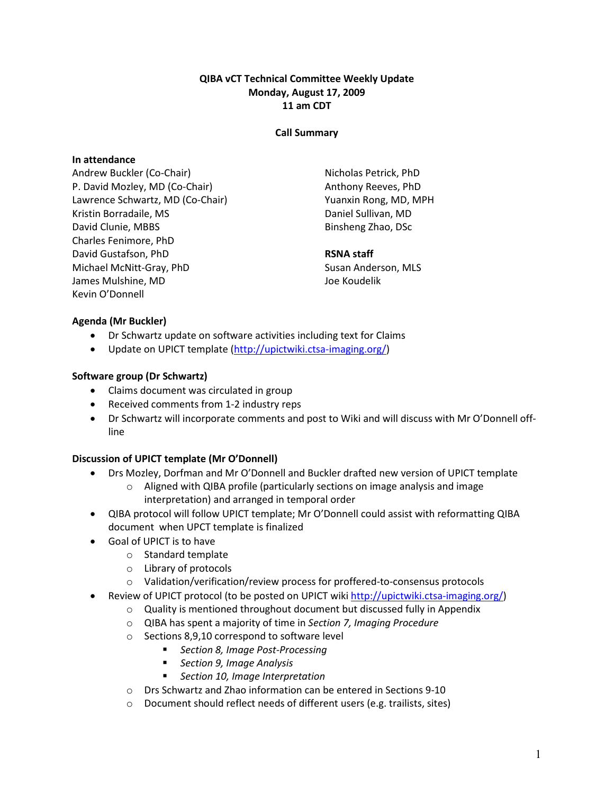## QIBA vCT Technical Committee Weekly Update Monday, August 17, 2009 11 am CDT

## Call Summary

## In attendance

Andrew Buckler (Co-Chair) P. David Mozley, MD (Co-Chair) Lawrence Schwartz, MD (Co-Chair) Kristin Borradaile, MS David Clunie, MBBS Charles Fenimore, PhD David Gustafson, PhD Michael McNitt-Gray, PhD James Mulshine, MD Kevin O'Donnell

Nicholas Petrick, PhD Anthony Reeves, PhD Yuanxin Rong, MD, MPH Daniel Sullivan, MD Binsheng Zhao, DSc

# RSNA staff

Susan Anderson, MLS Joe Koudelik

# Agenda (Mr Buckler)

- Dr Schwartz update on software activities including text for Claims
- Update on UPICT template (http://upictwiki.ctsa-imaging.org/)

# Software group (Dr Schwartz)

- Claims document was circulated in group
- Received comments from 1-2 industry reps
- Dr Schwartz will incorporate comments and post to Wiki and will discuss with Mr O'Donnell offline

# Discussion of UPICT template (Mr O'Donnell)

- Drs Mozley, Dorfman and Mr O'Donnell and Buckler drafted new version of UPICT template
	- o Aligned with QIBA profile (particularly sections on image analysis and image interpretation) and arranged in temporal order
- QIBA protocol will follow UPICT template; Mr O'Donnell could assist with reformatting QIBA document when UPCT template is finalized
- Goal of UPICT is to have
	- o Standard template
	- o Library of protocols
	- o Validation/verification/review process for proffered-to-consensus protocols
- Review of UPICT protocol (to be posted on UPICT wiki http://upictwiki.ctsa-imaging.org/)
	- $\circ$  Quality is mentioned throughout document but discussed fully in Appendix
	- o QIBA has spent a majority of time in Section 7, Imaging Procedure
	- o Sections 8,9,10 correspond to software level
		- **Section 8, Image Post-Processing**
		- Section 9, Image Analysis
		- Section 10, Image Interpretation
	- o Drs Schwartz and Zhao information can be entered in Sections 9-10
	- o Document should reflect needs of different users (e.g. trailists, sites)